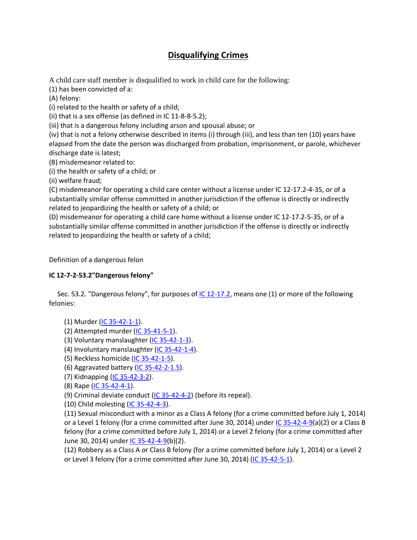## **Disqualifying Crimes**

A child care staff member is disqualified to work in child care for the following:

(1) has been convicted of a:

(A) felony:

(i) related to the health or safety of a child;

(ii) that is a sex offense (as defined in IC 11-8-8-5.2);

(iii) that is a dangerous felony including arson and spousal abuse; or

(iv) that is not a felony otherwise described in items (i) through (iii), and less than ten (10) years have elapsed from the date the person was discharged from probation, imprisonment, or parole, whichever discharge date is latest;

(B) misdemeanor related to:

(i) the health or safety of a child; or

(ii) welfare fraud;

(C) misdemeanor for operating a child care center without a license under IC 12-17.2-4-35, or of a substantially similar offense committed in another jurisdiction if the offense is directly or indirectly related to jeopardizing the health or safety of a child; or

(D) misdemeanor for operating a child care home without a license under IC 12-17.2-5-35, or of a substantially similar offense committed in another jurisdiction if the offense is directly or indirectly related to jeopardizing the health or safety of a child;

Definition of a dangerous felon

## **IC 12-7-2-53.2"Dangerous felony"**

Sec. 53.2. "Dangerous felony", for purposes of [IC 12-17.2,](http://iga.in.gov/legislative/laws/2017/ic/titles/012/#12-17.2) means one (1) or more of the following felonies:

(1) Murder [\(IC 35-42-1-1\)](http://iga.in.gov/legislative/laws/2017/ic/titles/012/#35-42-1-1).

(2) Attempted murder [\(IC 35-41-5-1\)](http://iga.in.gov/legislative/laws/2017/ic/titles/012/#35-41-5-1).

(3) Voluntary manslaughter [\(IC 35-42-1-3\)](http://iga.in.gov/legislative/laws/2017/ic/titles/012/#35-42-1-3).

(4) Involuntary manslaughter [\(IC 35-42-1-4\)](http://iga.in.gov/legislative/laws/2017/ic/titles/012/#35-42-1-4).

(5) Reckless homicide [\(IC 35-42-1-5\)](http://iga.in.gov/legislative/laws/2017/ic/titles/012/#35-42-1-5).

(6) Aggravated battery [\(IC 35-42-2-1.5\)](http://iga.in.gov/legislative/laws/2017/ic/titles/012/#35-42-2-1.5).

(7) Kidnapping [\(IC 35-42-3-2\)](http://iga.in.gov/legislative/laws/2017/ic/titles/012/#35-42-3-2).

(8) Rape [\(IC 35-42-4-1\)](http://iga.in.gov/legislative/laws/2017/ic/titles/012/#35-42-4-1).

(9) Criminal deviate conduct [\(IC 35-42-4-2\)](http://iga.in.gov/legislative/laws/2017/ic/titles/012/#35-42-4-2) (before its repeal).

(10) Child molesting [\(IC 35-42-4-3\)](http://iga.in.gov/legislative/laws/2017/ic/titles/012/#35-42-4-3).

(11) Sexual misconduct with a minor as a Class A felony (for a crime committed before July 1, 2014) or a Level 1 felony (for a crime committed after June 30, 2014) under [IC 35-42-4-9\(](http://iga.in.gov/legislative/laws/2017/ic/titles/012/#35-42-4-9)a)(2) or a Class B felony (for a crime committed before July 1, 2014) or a Level 2 felony (for a crime committed after June 30, 2014) under [IC 35-42-4-9\(](http://iga.in.gov/legislative/laws/2017/ic/titles/012/#35-42-4-9)b)(2).

(12) Robbery as a Class A or Class B felony (for a crime committed before July 1, 2014) or a Level 2 or Level 3 felony (for a crime committed after June 30, 2014) [\(IC 35-42-5-1\)](http://iga.in.gov/legislative/laws/2017/ic/titles/012/#35-42-5-1).